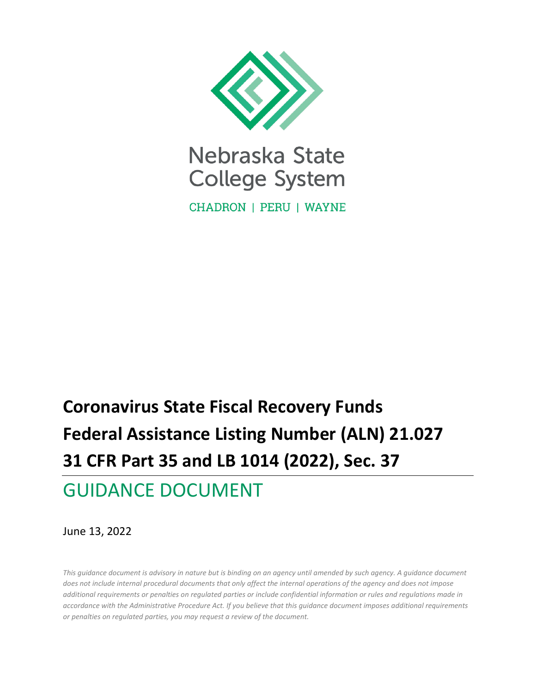

**CHADRON | PERU | WAYNE** 

# **Coronavirus State Fiscal Recovery Funds Federal Assistance Listing Number (ALN) 21.027 31 CFR Part 35 and LB 1014 (2022), Sec. 37**

# GUIDANCE DOCUMENT

June 13, 2022

*This guidance document is advisory in nature but is binding on an agency until amended by such agency. A guidance document does not include internal procedural documents that only affect the internal operations of the agency and does not impose additional requirements or penalties on regulated parties or include confidential information or rules and regulations made in accordance with the Administrative Procedure Act. If you believe that this guidance document imposes additional requirements or penalties on regulated parties, you may request a review of the document.*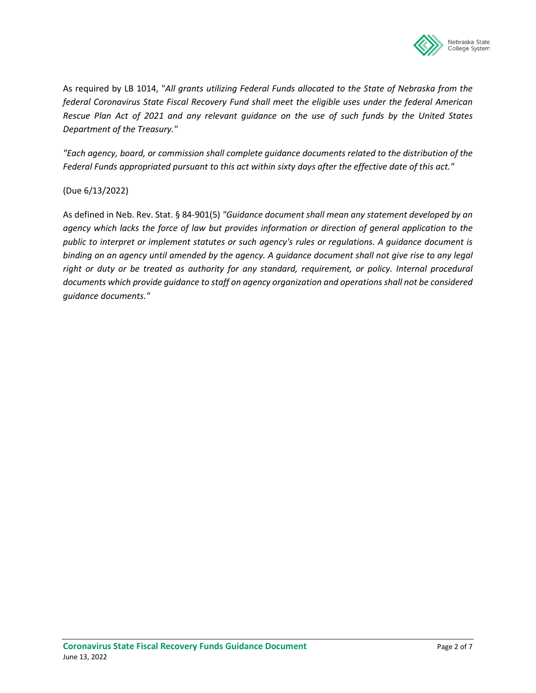

As required by LB 1014, "*All grants utilizing Federal Funds allocated to the State of Nebraska from the federal Coronavirus State Fiscal Recovery Fund shall meet the eligible uses under the federal American Rescue Plan Act of 2021 and any relevant guidance on the use of such funds by the United States Department of the Treasury."* 

*"Each agency, board, or commission shall complete guidance documents related to the distribution of the Federal Funds appropriated pursuant to this act within sixty days after the effective date of this act."*

(Due 6/13/2022)

As defined in Neb. Rev. Stat. § 84-901(5) *"Guidance document shall mean any statement developed by an agency which lacks the force of law but provides information or direction of general application to the public to interpret or implement statutes or such agency's rules or regulations. A guidance document is binding on an agency until amended by the agency. A guidance document shall not give rise to any legal right or duty or be treated as authority for any standard, requirement, or policy. Internal procedural documents which provide guidance to staff on agency organization and operations shall not be considered guidance documents."*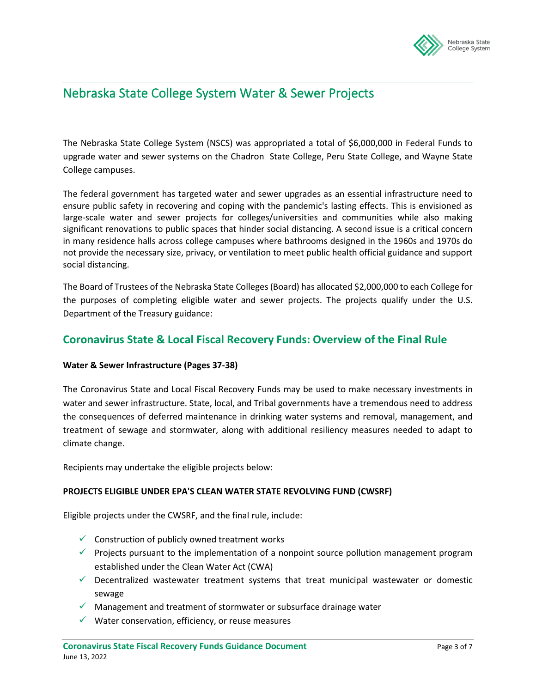

### Nebraska State College System Water & Sewer Projects

The Nebraska State College System (NSCS) was appropriated a total of \$6,000,000 in Federal Funds to upgrade water and sewer systems on the Chadron State College, Peru State College, and Wayne State College campuses.

The federal government has targeted water and sewer upgrades as an essential infrastructure need to ensure public safety in recovering and coping with the pandemic's lasting effects. This is envisioned as large-scale water and sewer projects for colleges/universities and communities while also making significant renovations to public spaces that hinder social distancing. A second issue is a critical concern in many residence halls across college campuses where bathrooms designed in the 1960s and 1970s do not provide the necessary size, privacy, or ventilation to meet public health official guidance and support social distancing.

The Board of Trustees of the Nebraska State Colleges(Board) has allocated \$2,000,000 to each College for the purposes of completing eligible water and sewer projects. The projects qualify under the U.S. Department of the Treasury guidance:

#### **Coronavirus State & Local Fiscal Recovery Funds: Overview of the Final Rule**

#### **Water & Sewer Infrastructure (Pages 37-38)**

The Coronavirus State and Local Fiscal Recovery Funds may be used to make necessary investments in water and sewer infrastructure. State, local, and Tribal governments have a tremendous need to address the consequences of deferred maintenance in drinking water systems and removal, management, and treatment of sewage and stormwater, along with additional resiliency measures needed to adapt to climate change.

Recipients may undertake the eligible projects below:

#### **PROJECTS ELIGIBLE UNDER EPA'S CLEAN WATER STATE REVOLVING FUND (CWSRF)**

Eligible projects under the CWSRF, and the final rule, include:

- $\checkmark$  Construction of publicly owned treatment works
- $\checkmark$  Projects pursuant to the implementation of a nonpoint source pollution management program established under the Clean Water Act (CWA)
- $\checkmark$  Decentralized wastewater treatment systems that treat municipal wastewater or domestic sewage
- $\checkmark$  Management and treatment of stormwater or subsurface drainage water
- $\checkmark$  Water conservation, efficiency, or reuse measures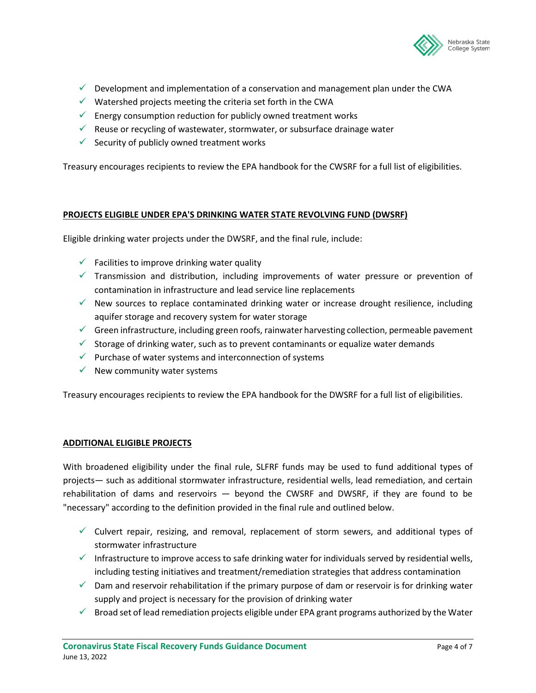

- $\checkmark$  Development and implementation of a conservation and management plan under the CWA
- $\checkmark$  Watershed projects meeting the criteria set forth in the CWA
- $\checkmark$  Energy consumption reduction for publicly owned treatment works
- $\checkmark$  Reuse or recycling of wastewater, stormwater, or subsurface drainage water
- $\checkmark$  Security of publicly owned treatment works

Treasury encourages recipients to review the EPA handbook for the CWSRF for a full list of eligibilities.

#### **PROJECTS ELIGIBLE UNDER EPA'S DRINKING WATER STATE REVOLVING FUND (DWSRF)**

Eligible drinking water projects under the DWSRF, and the final rule, include:

- $\checkmark$  Facilities to improve drinking water quality
- $\checkmark$  Transmission and distribution, including improvements of water pressure or prevention of contamination in infrastructure and lead service line replacements
- $\checkmark$  New sources to replace contaminated drinking water or increase drought resilience, including aquifer storage and recovery system for water storage
- $\checkmark$  Green infrastructure, including green roofs, rainwater harvesting collection, permeable pavement
- $\checkmark$  Storage of drinking water, such as to prevent contaminants or equalize water demands
- $\checkmark$  Purchase of water systems and interconnection of systems
- $\checkmark$  New community water systems

Treasury encourages recipients to review the EPA handbook for the DWSRF for a full list of eligibilities.

#### **ADDITIONAL ELIGIBLE PROJECTS**

With broadened eligibility under the final rule, SLFRF funds may be used to fund additional types of projects— such as additional stormwater infrastructure, residential wells, lead remediation, and certain rehabilitation of dams and reservoirs — beyond the CWSRF and DWSRF, if they are found to be "necessary" according to the definition provided in the final rule and outlined below.

- $\checkmark$  Culvert repair, resizing, and removal, replacement of storm sewers, and additional types of stormwater infrastructure
- Infrastructure to improve access to safe drinking water for individuals served by residential wells, including testing initiatives and treatment/remediation strategies that address contamination
- $\checkmark$  Dam and reservoir rehabilitation if the primary purpose of dam or reservoir is for drinking water supply and project is necessary for the provision of drinking water
- $\checkmark$  Broad set of lead remediation projects eligible under EPA grant programs authorized by the Water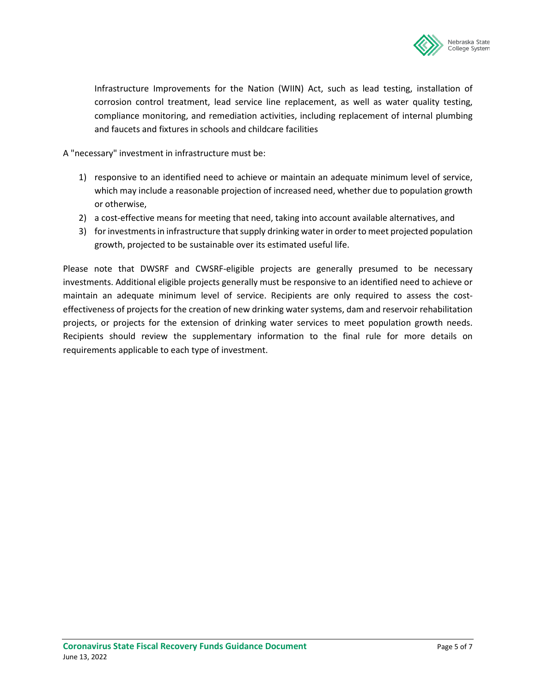

Infrastructure Improvements for the Nation (WIIN) Act, such as lead testing, installation of corrosion control treatment, lead service line replacement, as well as water quality testing, compliance monitoring, and remediation activities, including replacement of internal plumbing and faucets and fixtures in schools and childcare facilities

A "necessary" investment in infrastructure must be:

- 1) responsive to an identified need to achieve or maintain an adequate minimum level of service, which may include a reasonable projection of increased need, whether due to population growth or otherwise,
- 2) a cost-effective means for meeting that need, taking into account available alternatives, and
- 3) for investments in infrastructure that supply drinking water in order to meet projected population growth, projected to be sustainable over its estimated useful life.

Please note that DWSRF and CWSRF-eligible projects are generally presumed to be necessary investments. Additional eligible projects generally must be responsive to an identified need to achieve or maintain an adequate minimum level of service. Recipients are only required to assess the costeffectiveness of projects for the creation of new drinking water systems, dam and reservoir rehabilitation projects, or projects for the extension of drinking water services to meet population growth needs. Recipients should review the supplementary information to the final rule for more details on requirements applicable to each type of investment.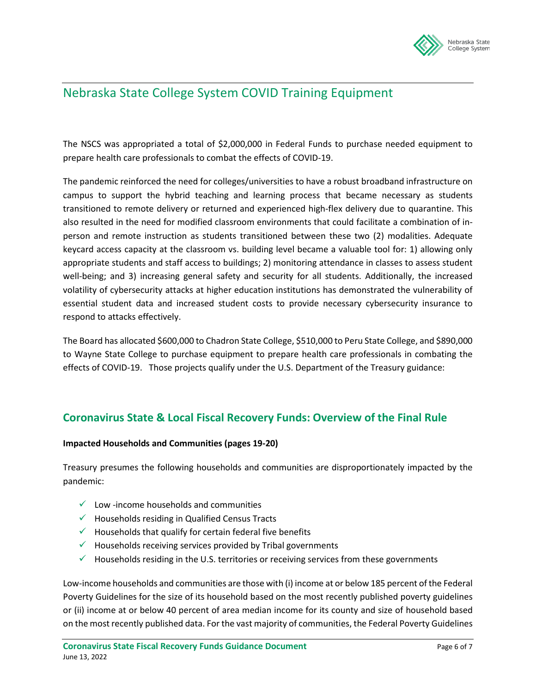

## Nebraska State College System COVID Training Equipment

The NSCS was appropriated a total of \$2,000,000 in Federal Funds to purchase needed equipment to prepare health care professionals to combat the effects of COVID-19.

The pandemic reinforced the need for colleges/universities to have a robust broadband infrastructure on campus to support the hybrid teaching and learning process that became necessary as students transitioned to remote delivery or returned and experienced high-flex delivery due to quarantine. This also resulted in the need for modified classroom environments that could facilitate a combination of inperson and remote instruction as students transitioned between these two (2) modalities. Adequate keycard access capacity at the classroom vs. building level became a valuable tool for: 1) allowing only appropriate students and staff access to buildings; 2) monitoring attendance in classes to assess student well-being; and 3) increasing general safety and security for all students. Additionally, the increased volatility of cybersecurity attacks at higher education institutions has demonstrated the vulnerability of essential student data and increased student costs to provide necessary cybersecurity insurance to respond to attacks effectively.

The Board has allocated \$600,000 to Chadron State College, \$510,000 to Peru State College, and \$890,000 to Wayne State College to purchase equipment to prepare health care professionals in combating the effects of COVID-19. Those projects qualify under the U.S. Department of the Treasury guidance:

#### **Coronavirus State & Local Fiscal Recovery Funds: Overview of the Final Rule**

#### **Impacted Households and Communities (pages 19-20)**

Treasury presumes the following households and communities are disproportionately impacted by the pandemic:

- $\checkmark$  Low -income households and communities
- $\checkmark$  Households residing in Qualified Census Tracts
- $\checkmark$  Households that qualify for certain federal five benefits
- $\checkmark$  Households receiving services provided by Tribal governments
- $\checkmark$  Households residing in the U.S. territories or receiving services from these governments

Low-income households and communities are those with (i) income at or below 185 percent of the Federal Poverty Guidelines for the size of its household based on the most recently published poverty guidelines or (ii) income at or below 40 percent of area median income for its county and size of household based on the most recently published data. For the vast majority of communities, the Federal Poverty Guidelines